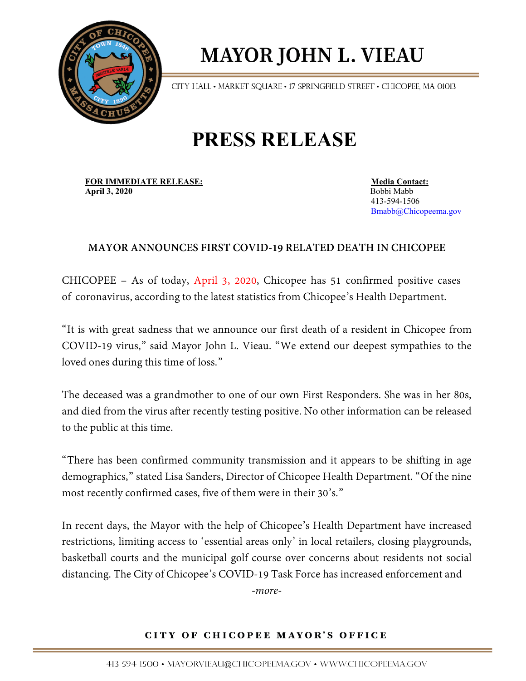

## **MAYOR JOHN L. VIEAU**

CITY HALL . MARKET SQUARE . 17 SPRINGFIELD STREET . CHICOPEE, MA 01013

## **PRESS RELEASE**

**FOR IMMEDIATE RELEASE:**<br> **Anril 3, 2020**<br> **Anril 3, 2020 April 3, 2020** 

413-594-1506 [Bmabb@Chicopeema.gov](mailto:Bmabb@Chicopeema.gov)

## **MAYOR ANNOUNCES FIRST COVID-19 RELATED DEATH IN CHICOPEE**

CHICOPEE – As of today, April 3, 2020, Chicopee has 51 confirmed positive cases of coronavirus, according to the latest statistics from Chicopee's Health Department.

"It is with great sadness that we announce our first death of a resident in Chicopee from COVID-19 virus," said Mayor John L. Vieau. "We extend our deepest sympathies to the loved ones during this time of loss."

The deceased was a grandmother to one of our own First Responders. She was in her 80s, and died from the virus after recently testing positive. No other information can be released to the public at this time.

"There has been confirmed community transmission and it appears to be shifting in age demographics," stated Lisa Sanders, Director of Chicopee Health Department. "Of the nine most recently confirmed cases, five of them were in their 30's."

In recent days, the Mayor with the help of Chicopee's Health Department have increased restrictions, limiting access to 'essential areas only' in local retailers, closing playgrounds, basketball courts and the municipal golf course over concerns about residents not social distancing. The City of Chicopee's COVID-19 Task Force has increased enforcement and *-more-* 

CITY OF CHICOPEE MAYOR'S OFFICE